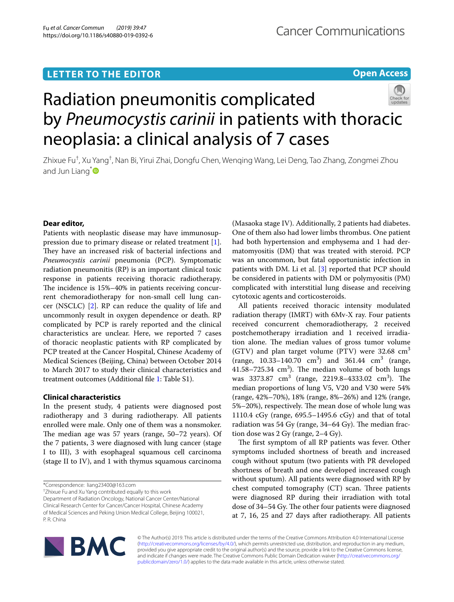## **LETTER TO THE EDITOR**





# Radiation pneumonitis complicated by *Pneumocystis carinii* in patients with thoracic neoplasia: a clinical analysis of 7 cases

Zhixue Fu<sup>†</sup>, Xu Yang<sup>†</sup>, Nan Bi, Yirui Zhai, Dongfu Chen, Wenqing Wang, Lei Deng, Tao Zhang, Zongmei Zhou and Jun Liang<sup>[\\*](http://orcid.org/0000-0003-0309-0163)</sup>

## **Dear editor,**

Patients with neoplastic disease may have immunosuppression due to primary disease or related treatment [\[1](#page-3-0)]. They have an increased risk of bacterial infections and *Pneumocystis carinii* pneumonia (PCP). Symptomatic radiation pneumonitis (RP) is an important clinical toxic response in patients receiving thoracic radiotherapy. The incidence is 15%–40% in patients receiving concurrent chemoradiotherapy for non-small cell lung cancer (NSCLC) [[2\]](#page-3-1). RP can reduce the quality of life and uncommonly result in oxygen dependence or death. RP complicated by PCP is rarely reported and the clinical characteristics are unclear. Here, we reported 7 cases of thoracic neoplastic patients with RP complicated by PCP treated at the Cancer Hospital, Chinese Academy of Medical Sciences (Beijing, China) between October 2014 to March 2017 to study their clinical characteristics and treatment outcomes (Additional fle [1](#page-3-2): Table S1).

## **Clinical characteristics**

In the present study, 4 patients were diagnosed post radiotherapy and 3 during radiotherapy. All patients enrolled were male. Only one of them was a nonsmoker. The median age was  $57$  years (range,  $50-72$  years). Of the 7 patients, 3 were diagnosed with lung cancer (stage I to III), 3 with esophageal squamous cell carcinoma (stage II to IV), and 1 with thymus squamous carcinoma

\*Correspondence: liang23400@163.com

† Zhixue Fu and Xu Yang contributed equally to this work Department of Radiation Oncology, National Cancer Center/National Clinical Research Center for Cancer/Cancer Hospital, Chinese Academy of Medical Sciences and Peking Union Medical College, Beijing 100021, P. R. China

(Masaoka stage IV). Additionally, 2 patients had diabetes. One of them also had lower limbs thrombus. One patient had both hypertension and emphysema and 1 had dermatomyositis (DM) that was treated with steroid. PCP was an uncommon, but fatal opportunistic infection in patients with DM. Li et al. [[3\]](#page-3-3) reported that PCP should be considered in patients with DM or polymyositis (PM) complicated with interstitial lung disease and receiving cytotoxic agents and corticosteroids.

All patients received thoracic intensity modulated radiation therapy (IMRT) with 6Mv-X ray. Four patients received concurrent chemoradiotherapy, 2 received postchemotherapy irradiation and 1 received irradiation alone. The median values of gross tumor volume (GTV) and plan target volume (PTV) were  $32.68 \text{ cm}^3$  $(range, 10.33-140.70 \text{ cm}^3)$  and  $361.44 \text{ cm}^3$  (range,  $41.58 - 725.34$  cm<sup>3</sup>). The median volume of both lungs was 3373.87  $\text{cm}^3$  (range, 2219.8–4333.02  $\text{cm}^3$ ). The median proportions of lung V5, V20 and V30 were 54% (range, 42%–70%), 18% (range, 8%–26%) and 12% (range, 5%–20%), respectively. The mean dose of whole lung was 1110.4 cGy (range, 695.5–1495.6 cGy) and that of total radiation was 54 Gy (range,  $34-64$  Gy). The median fraction dose was 2 Gy (range, 2–4 Gy).

The first symptom of all RP patients was fever. Other symptoms included shortness of breath and increased cough without sputum (two patients with PR developed shortness of breath and one developed increased cough without sputum). All patients were diagnosed with RP by chest computed tomography  $(CT)$  scan. Three patients were diagnosed RP during their irradiation with total dose of 34–54 Gy. The other four patients were diagnosed at 7, 16, 25 and 27 days after radiotherapy. All patients



© The Author(s) 2019. This article is distributed under the terms of the Creative Commons Attribution 4.0 International License [\(http://creativecommons.org/licenses/by/4.0/\)](http://creativecommons.org/licenses/by/4.0/), which permits unrestricted use, distribution, and reproduction in any medium, provided you give appropriate credit to the original author(s) and the source, provide a link to the Creative Commons license, and indicate if changes were made. The Creative Commons Public Domain Dedication waiver ([http://creativecommons.org/](http://creativecommons.org/publicdomain/zero/1.0/) [publicdomain/zero/1.0/](http://creativecommons.org/publicdomain/zero/1.0/)) applies to the data made available in this article, unless otherwise stated.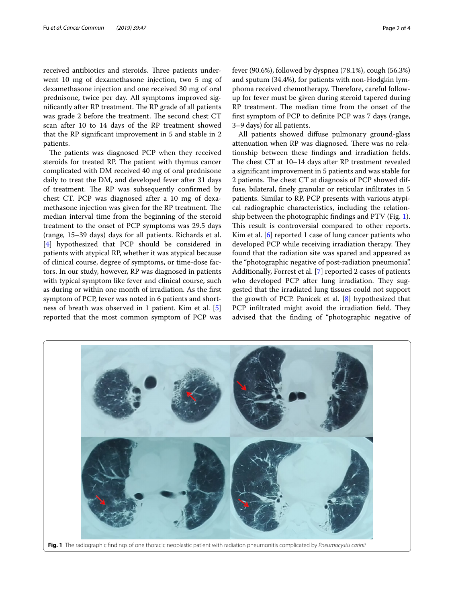received antibiotics and steroids. Three patients underwent 10 mg of dexamethasone injection, two 5 mg of dexamethasone injection and one received 30 mg of oral prednisone, twice per day. All symptoms improved significantly after RP treatment. The RP grade of all patients was grade 2 before the treatment. The second chest CT scan after 10 to 14 days of the RP treatment showed that the RP signifcant improvement in 5 and stable in 2 patients.

The patients was diagnosed PCP when they received steroids for treated RP. The patient with thymus cancer complicated with DM received 40 mg of oral prednisone daily to treat the DM, and developed fever after 31 days of treatment. The RP was subsequently confirmed by chest CT. PCP was diagnosed after a 10 mg of dexamethasone injection was given for the RP treatment. The median interval time from the beginning of the steroid treatment to the onset of PCP symptoms was 29.5 days (range, 15–39 days) days for all patients. Richards et al. [[4\]](#page-3-4) hypothesized that PCP should be considered in patients with atypical RP, whether it was atypical because of clinical course, degree of symptoms, or time-dose factors. In our study, however, RP was diagnosed in patients with typical symptom like fever and clinical course, such as during or within one month of irradiation. As the frst symptom of PCP, fever was noted in 6 patients and shortness of breath was observed in 1 patient. Kim et al. [\[5](#page-3-5)] reported that the most common symptom of PCP was fever (90.6%), followed by dyspnea (78.1%), cough (56.3%) and sputum (34.4%), for patients with non-Hodgkin lymphoma received chemotherapy. Therefore, careful followup for fever must be given during steroid tapered during RP treatment. The median time from the onset of the frst symptom of PCP to defnite PCP was 7 days (range, 3–9 days) for all patients.

All patients showed difuse pulmonary ground-glass attenuation when RP was diagnosed. There was no relationship between these fndings and irradiation felds. The chest  $CT$  at  $10-14$  days after RP treatment revealed a signifcant improvement in 5 patients and was stable for 2 patients. The chest CT at diagnosis of PCP showed diffuse, bilateral, fnely granular or reticular infltrates in 5 patients. Similar to RP, PCP presents with various atypical radiographic characteristics, including the relationship between the photographic fndings and PTV (Fig. [1](#page-1-0)). This result is controversial compared to other reports. Kim et al. [[6\]](#page-3-6) reported 1 case of lung cancer patients who developed PCP while receiving irradiation therapy. They found that the radiation site was spared and appeared as the "photographic negative of post-radiation pneumonia". Additionally, Forrest et al. [[7\]](#page-3-7) reported 2 cases of patients who developed PCP after lung irradiation. They suggested that the irradiated lung tissues could not support the growth of PCP. Panicek et al.  $[8]$  $[8]$  hypothesized that PCP infiltrated might avoid the irradiation field. They advised that the fnding of "photographic negative of

<span id="page-1-0"></span>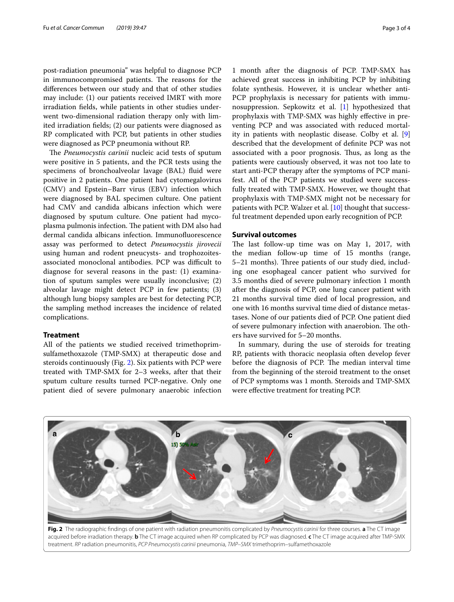post-radiation pneumonia" was helpful to diagnose PCP in immunocompromised patients. The reasons for the diferences between our study and that of other studies may include: (1) our patients received IMRT with more irradiation felds, while patients in other studies underwent two-dimensional radiation therapy only with limited irradiation felds; (2) our patients were diagnosed as RP complicated with PCP, but patients in other studies were diagnosed as PCP pneumonia without RP.

The *Pneumocystis carinii* nucleic acid tests of sputum were positive in 5 patients, and the PCR tests using the specimens of bronchoalveolar lavage (BAL) fluid were positive in 2 patients. One patient had cytomegalovirus (CMV) and Epstein–Barr virus (EBV) infection which were diagnosed by BAL specimen culture. One patient had CMV and candida albicans infection which were diagnosed by sputum culture. One patient had mycoplasma pulmonis infection. The patient with DM also had dermal candida albicans infection. Immunofuorescence assay was performed to detect *Pneumocystis jirovecii* using human and rodent pneucysts- and trophozoitesassociated monoclonal antibodies. PCP was difficult to diagnose for several reasons in the past: (1) examination of sputum samples were usually inconclusive; (2) alveolar lavage might detect PCP in few patients; (3) although lung biopsy samples are best for detecting PCP, the sampling method increases the incidence of related complications.

### **Treatment**

All of the patients we studied received trimethoprimsulfamethoxazole (TMP-SMX) at therapeutic dose and steroids continuously (Fig. [2\)](#page-2-0). Six patients with PCP were treated with TMP-SMX for 2–3 weeks, after that their sputum culture results turned PCP-negative. Only one patient died of severe pulmonary anaerobic infection

1 month after the diagnosis of PCP. TMP-SMX has achieved great success in inhibiting PCP by inhibiting folate synthesis. However, it is unclear whether anti-PCP prophylaxis is necessary for patients with immunosuppression. Sepkowitz et al. [[1](#page-3-0)] hypothesized that prophylaxis with TMP-SMX was highly efective in preventing PCP and was associated with reduced mortality in patients with neoplastic disease. Colby et al. [\[9](#page-3-9)] described that the development of defnite PCP was not associated with a poor prognosis. Thus, as long as the patients were cautiously observed, it was not too late to start anti-PCP therapy after the symptoms of PCP manifest. All of the PCP patients we studied were successfully treated with TMP-SMX. However, we thought that prophylaxis with TMP-SMX might not be necessary for patients with PCP. Walzer et al. [[10\]](#page-3-10) thought that successful treatment depended upon early recognition of PCP.

## **Survival outcomes**

The last follow-up time was on May 1, 2017, with the median follow-up time of 15 months (range, 5–21 months). Three patients of our study died, including one esophageal cancer patient who survived for 3.5 months died of severe pulmonary infection 1 month after the diagnosis of PCP, one lung cancer patient with 21 months survival time died of local progression, and one with 16 months survival time died of distance metastases. None of our patients died of PCP. One patient died of severe pulmonary infection with anaerobion. The others have survived for 5–20 months.

In summary, during the use of steroids for treating RP, patients with thoracic neoplasia often develop fever before the diagnosis of PCP. The median interval time from the beginning of the steroid treatment to the onset of PCP symptoms was 1 month. Steroids and TMP-SMX were efective treatment for treating PCP.



<span id="page-2-0"></span>**Fig. 2** The radiographic fndings of one patient with radiation pneumonitis complicated by *Pneumocystis carinii* for three courses. **a** The CT image acquired before irradiation therapy. **b** The CT image acquired when RP complicated by PCP was diagnosed. **c** The CT image acquired after TMP-SMX treatment. *RP* radiation pneumonitis, *PCP Pneumocystis carinii* pneumonia, *TMP–SMX* trimethoprim–sulfamethoxazole